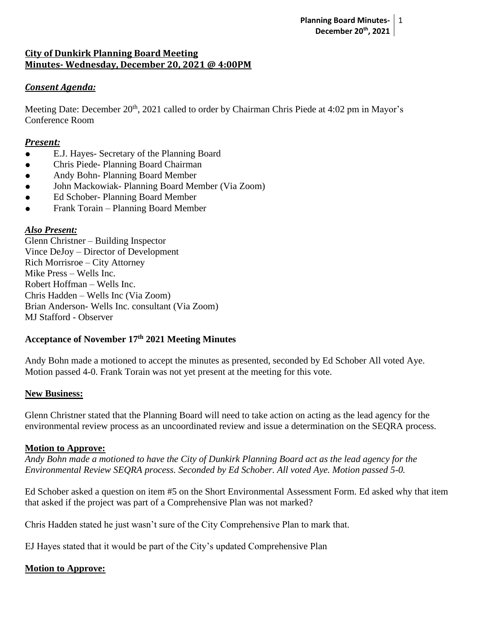# **City of Dunkirk Planning Board Meeting Minutes- Wednesday, December 20, 2021 @ 4:00PM**

### *Consent Agenda:*

Meeting Date: December 20<sup>th</sup>, 2021 called to order by Chairman Chris Piede at 4:02 pm in Mayor's Conference Room

#### *Present:*

- E.J. Hayes- Secretary of the Planning Board
- Chris Piede- Planning Board Chairman
- Andy Bohn- Planning Board Member
- John Mackowiak- Planning Board Member (Via Zoom)
- Ed Schober- Planning Board Member
- Frank Torain Planning Board Member

### *Also Present:*

Glenn Christner – Building Inspector Vince DeJoy – Director of Development Rich Morrisroe – City Attorney Mike Press – Wells Inc. Robert Hoffman – Wells Inc. Chris Hadden – Wells Inc (Via Zoom) Brian Anderson- Wells Inc. consultant (Via Zoom) MJ Stafford - Observer

### **Acceptance of November 17th 2021 Meeting Minutes**

Andy Bohn made a motioned to accept the minutes as presented, seconded by Ed Schober All voted Aye. Motion passed 4-0. Frank Torain was not yet present at the meeting for this vote.

### **New Business:**

Glenn Christner stated that the Planning Board will need to take action on acting as the lead agency for the environmental review process as an uncoordinated review and issue a determination on the SEQRA process.

### **Motion to Approve:**

*Andy Bohn made a motioned to have the City of Dunkirk Planning Board act as the lead agency for the Environmental Review SEQRA process. Seconded by Ed Schober. All voted Aye. Motion passed 5-0.*

Ed Schober asked a question on item #5 on the Short Environmental Assessment Form. Ed asked why that item that asked if the project was part of a Comprehensive Plan was not marked?

Chris Hadden stated he just wasn't sure of the City Comprehensive Plan to mark that.

EJ Hayes stated that it would be part of the City's updated Comprehensive Plan

### **Motion to Approve:**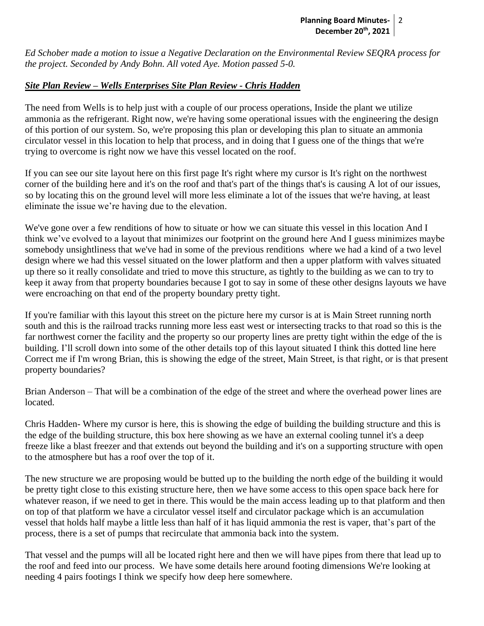*Ed Schober made a motion to issue a Negative Declaration on the Environmental Review SEQRA process for the project. Seconded by Andy Bohn. All voted Aye. Motion passed 5-0.*

## *Site Plan Review – Wells Enterprises Site Plan Review - Chris Hadden*

The need from Wells is to help just with a couple of our process operations, Inside the plant we utilize ammonia as the refrigerant. Right now, we're having some operational issues with the engineering the design of this portion of our system. So, we're proposing this plan or developing this plan to situate an ammonia circulator vessel in this location to help that process, and in doing that I guess one of the things that we're trying to overcome is right now we have this vessel located on the roof.

If you can see our site layout here on this first page It's right where my cursor is It's right on the northwest corner of the building here and it's on the roof and that's part of the things that's is causing A lot of our issues, so by locating this on the ground level will more less eliminate a lot of the issues that we're having, at least eliminate the issue we're having due to the elevation.

We've gone over a few renditions of how to situate or how we can situate this vessel in this location And I think we've evolved to a layout that minimizes our footprint on the ground here And I guess minimizes maybe somebody unsightliness that we've had in some of the previous renditions where we had a kind of a two level design where we had this vessel situated on the lower platform and then a upper platform with valves situated up there so it really consolidate and tried to move this structure, as tightly to the building as we can to try to keep it away from that property boundaries because I got to say in some of these other designs layouts we have were encroaching on that end of the property boundary pretty tight.

If you're familiar with this layout this street on the picture here my cursor is at is Main Street running north south and this is the railroad tracks running more less east west or intersecting tracks to that road so this is the far northwest corner the facility and the property so our property lines are pretty tight within the edge of the is building. I'll scroll down into some of the other details top of this layout situated I think this dotted line here Correct me if I'm wrong Brian, this is showing the edge of the street, Main Street, is that right, or is that present property boundaries?

Brian Anderson – That will be a combination of the edge of the street and where the overhead power lines are located.

Chris Hadden- Where my cursor is here, this is showing the edge of building the building structure and this is the edge of the building structure, this box here showing as we have an external cooling tunnel it's a deep freeze like a blast freezer and that extends out beyond the building and it's on a supporting structure with open to the atmosphere but has a roof over the top of it.

The new structure we are proposing would be butted up to the building the north edge of the building it would be pretty tight close to this existing structure here, then we have some access to this open space back here for whatever reason, if we need to get in there. This would be the main access leading up to that platform and then on top of that platform we have a circulator vessel itself and circulator package which is an accumulation vessel that holds half maybe a little less than half of it has liquid ammonia the rest is vaper, that's part of the process, there is a set of pumps that recirculate that ammonia back into the system.

That vessel and the pumps will all be located right here and then we will have pipes from there that lead up to the roof and feed into our process. We have some details here around footing dimensions We're looking at needing 4 pairs footings I think we specify how deep here somewhere.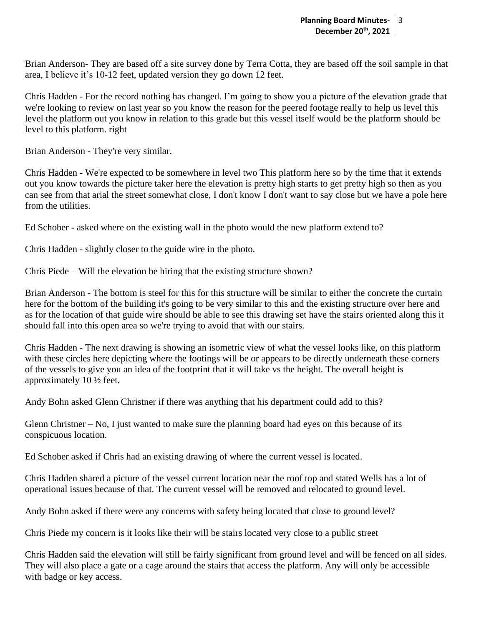Brian Anderson- They are based off a site survey done by Terra Cotta, they are based off the soil sample in that area, I believe it's 10-12 feet, updated version they go down 12 feet.

Chris Hadden - For the record nothing has changed. I'm going to show you a picture of the elevation grade that we're looking to review on last year so you know the reason for the peered footage really to help us level this level the platform out you know in relation to this grade but this vessel itself would be the platform should be level to this platform. right

Brian Anderson - They're very similar.

Chris Hadden - We're expected to be somewhere in level two This platform here so by the time that it extends out you know towards the picture taker here the elevation is pretty high starts to get pretty high so then as you can see from that arial the street somewhat close, I don't know I don't want to say close but we have a pole here from the utilities.

Ed Schober - asked where on the existing wall in the photo would the new platform extend to?

Chris Hadden - slightly closer to the guide wire in the photo.

Chris Piede – Will the elevation be hiring that the existing structure shown?

Brian Anderson - The bottom is steel for this for this structure will be similar to either the concrete the curtain here for the bottom of the building it's going to be very similar to this and the existing structure over here and as for the location of that guide wire should be able to see this drawing set have the stairs oriented along this it should fall into this open area so we're trying to avoid that with our stairs.

Chris Hadden - The next drawing is showing an isometric view of what the vessel looks like, on this platform with these circles here depicting where the footings will be or appears to be directly underneath these corners of the vessels to give you an idea of the footprint that it will take vs the height. The overall height is approximately 10 ½ feet.

Andy Bohn asked Glenn Christner if there was anything that his department could add to this?

Glenn Christner – No, I just wanted to make sure the planning board had eyes on this because of its conspicuous location.

Ed Schober asked if Chris had an existing drawing of where the current vessel is located.

Chris Hadden shared a picture of the vessel current location near the roof top and stated Wells has a lot of operational issues because of that. The current vessel will be removed and relocated to ground level.

Andy Bohn asked if there were any concerns with safety being located that close to ground level?

Chris Piede my concern is it looks like their will be stairs located very close to a public street

Chris Hadden said the elevation will still be fairly significant from ground level and will be fenced on all sides. They will also place a gate or a cage around the stairs that access the platform. Any will only be accessible with badge or key access.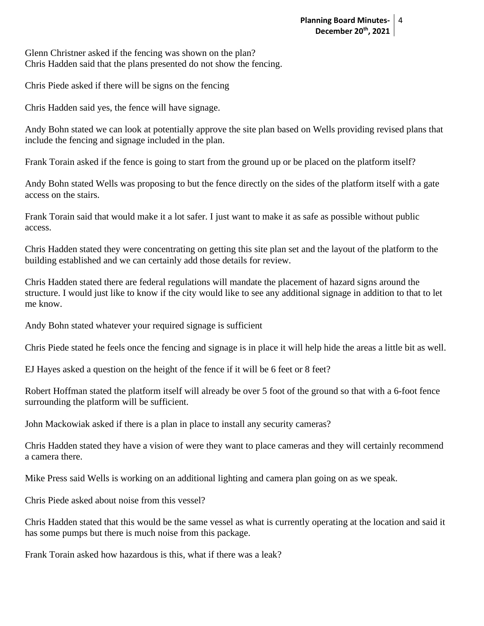Glenn Christner asked if the fencing was shown on the plan? Chris Hadden said that the plans presented do not show the fencing.

Chris Piede asked if there will be signs on the fencing

Chris Hadden said yes, the fence will have signage.

Andy Bohn stated we can look at potentially approve the site plan based on Wells providing revised plans that include the fencing and signage included in the plan.

Frank Torain asked if the fence is going to start from the ground up or be placed on the platform itself?

Andy Bohn stated Wells was proposing to but the fence directly on the sides of the platform itself with a gate access on the stairs.

Frank Torain said that would make it a lot safer. I just want to make it as safe as possible without public access.

Chris Hadden stated they were concentrating on getting this site plan set and the layout of the platform to the building established and we can certainly add those details for review.

Chris Hadden stated there are federal regulations will mandate the placement of hazard signs around the structure. I would just like to know if the city would like to see any additional signage in addition to that to let me know.

Andy Bohn stated whatever your required signage is sufficient

Chris Piede stated he feels once the fencing and signage is in place it will help hide the areas a little bit as well.

EJ Hayes asked a question on the height of the fence if it will be 6 feet or 8 feet?

Robert Hoffman stated the platform itself will already be over 5 foot of the ground so that with a 6-foot fence surrounding the platform will be sufficient.

John Mackowiak asked if there is a plan in place to install any security cameras?

Chris Hadden stated they have a vision of were they want to place cameras and they will certainly recommend a camera there.

Mike Press said Wells is working on an additional lighting and camera plan going on as we speak.

Chris Piede asked about noise from this vessel?

Chris Hadden stated that this would be the same vessel as what is currently operating at the location and said it has some pumps but there is much noise from this package.

Frank Torain asked how hazardous is this, what if there was a leak?